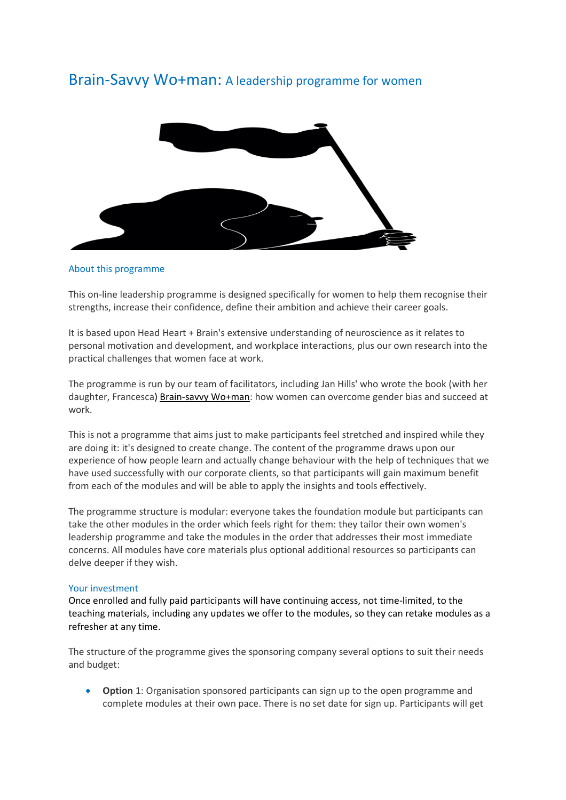# Brain-Savvy Wo+man: A leadership programme for women



### About this programme

This on-line leadership programme is designed specifically for women to help them recognise their strengths, increase their confidence, define their ambition and achieve their career goals.

It is based upon Head Heart + Brain's extensive understanding of neuroscience as it relates to personal motivation and development, and workplace interactions, plus our own research into the practical challenges that women face at work.

The programme is run by our team of facilitators, including Jan Hills' who wrote the book (with her daughter, Francesca) [Brain-savvy](https://www.amazon.co.uk/Brain-savvy-Wo-man-overcome/dp/099290076X/ref=tmm_pap_swatch_0?_encoding=UTF8&qid=1517821759&sr=8-1) Wo+man: how women can overcome gender bias and succeed at work.

This is not a programme that aims just to make participants feel stretched and inspired while they are doing it: it's designed to create change. The content of the programme draws upon our experience of how people learn and actually change behaviour with the help of techniques that we have used successfully with our corporate clients, so that participants will gain maximum benefit from each of the modules and will be able to apply the insights and tools effectively.

The programme structure is modular: everyone takes the foundation module but participants can take the other modules in the order which feels right for them: they tailor their own women's leadership programme and take the modules in the order that addresses their most immediate concerns. All modules have core materials plus optional additional resources so participants can delve deeper if they wish.

#### Your investment

Once enrolled and fully paid participants will have continuing access, not time-limited, to the teaching materials, including any updates we offer to the modules, so they can retake modules as a refresher at any time.

The structure of the programme gives the sponsoring company several options to suit their needs and budget:

• **Option** 1: Organisation sponsored participants can sign up to the open programme and complete modules at their own pace. There is no set date for sign up. Participants will get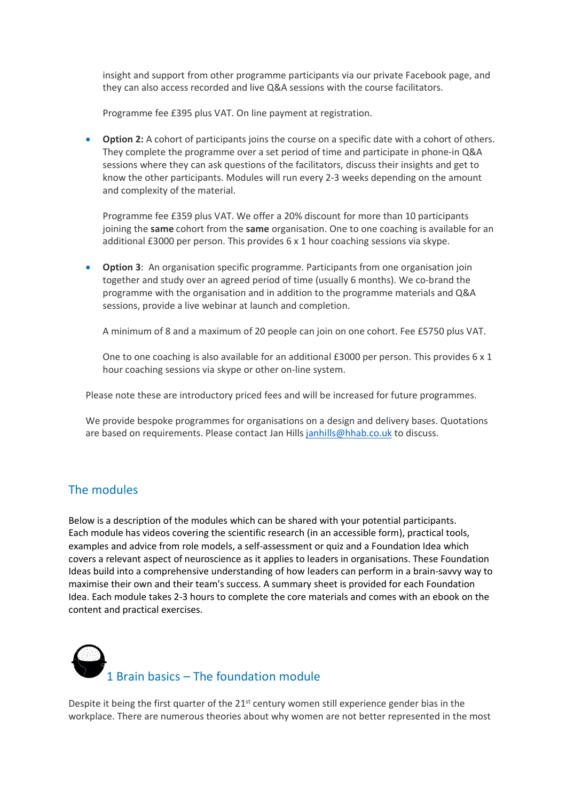insight and support from other programme participants via our private Facebook page, and they can also access recorded and live Q&A sessions with the course facilitators.

Programme fee £395 plus VAT. On line payment at registration.

• **Option 2:** A cohort of participants joins the course on a specific date with a cohort of others. They complete the programme over a set period of time and participate in phone-in Q&A sessions where they can ask questions of the facilitators, discuss their insights and get to know the other participants. Modules will run every 2-3 weeks depending on the amount and complexity of the material.

Programme fee £359 plus VAT. We offer a 20% discount for more than 10 participants joining the **same** cohort from the **same** organisation. One to one coaching is available for an additional £3000 per person. This provides 6 x 1 hour coaching sessions via skype.

• **Option 3**: An organisation specific programme. Participants from one organisation join together and study over an agreed period of time (usually 6 months). We co-brand the programme with the organisation and in addition to the programme materials and Q&A sessions, provide a live webinar at launch and completion.

A minimum of 8 and a maximum of 20 people can join on one cohort. Fee £5750 plus VAT.

One to one coaching is also available for an additional £3000 per person. This provides 6 x 1 hour coaching sessions via skype or other on-line system.

Please note these are introductory priced fees and will be increased for future programmes.

We provide bespoke programmes for organisations on a design and delivery bases. Quotations are based on requirements. Please contact Jan Hills [janhills@hhab.co.uk](mailto:janhills@hhab.co.uk) to discuss.

## The modules

Below is a description of the modules which can be shared with your potential participants. Each module has videos covering the scientific research (in an accessible form), practical tools, examples and advice from role models, a self-assessment or quiz and a Foundation Idea which covers a relevant aspect of neuroscience as it applies to leaders in organisations. These Foundation Ideas build into a comprehensive understanding of how leaders can perform in a brain-savvy way to maximise their own and their team's success. A summary sheet is provided for each Foundation Idea. Each module takes 2-3 hours to complete the core materials and comes with an ebook on the content and practical exercises.



Despite it being the first quarter of the  $21<sup>st</sup>$  century women still experience gender bias in the workplace. There are numerous theories about why women are not better represented in the most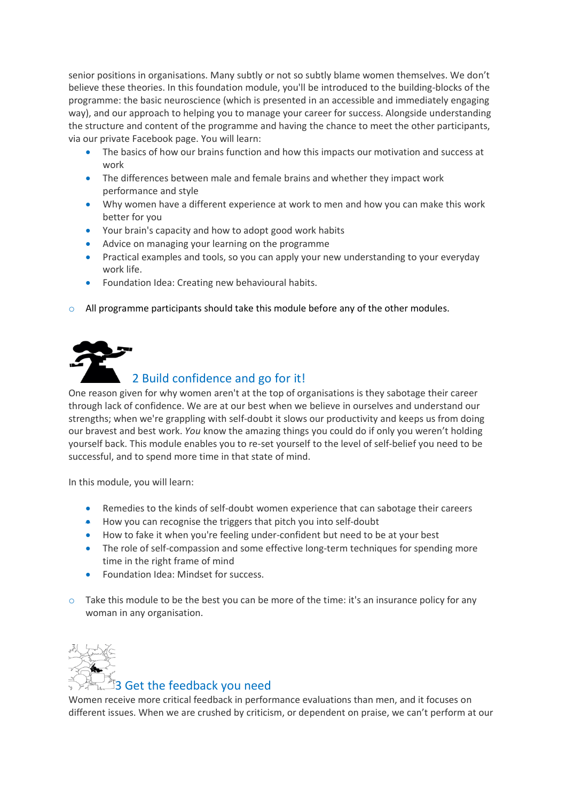senior positions in organisations. Many subtly or not so subtly blame women themselves. We don't believe these theories. In this foundation module, you'll be introduced to the building-blocks of the programme: the basic neuroscience (which is presented in an accessible and immediately engaging way), and our approach to helping you to manage your career for success. Alongside understanding the structure and content of the programme and having the chance to meet the other participants, via our private Facebook page. You will learn:

- The basics of how our brains function and how this impacts our motivation and success at work
- The differences between male and female brains and whether they impact work performance and style
- Why women have a different experience at work to men and how you can make this work better for you
- Your brain's capacity and how to adopt good work habits
- Advice on managing your learning on the programme
- Practical examples and tools, so you can apply your new understanding to your everyday work life.
- Foundation Idea: Creating new behavioural habits.
- $\circ$  All programme participants should take this module before any of the other modules.



## 2 Build confidence and go for it!

One reason given for why women aren't at the top of organisations is they sabotage their career through lack of confidence. We are at our best when we believe in ourselves and understand our strengths; when we're grappling with self-doubt it slows our productivity and keeps us from doing our bravest and best work. *You* know the amazing things you could do if only you weren't holding yourself back. This module enables you to re-set yourself to the level of self-belief you need to be successful, and to spend more time in that state of mind.

In this module, you will learn:

- Remedies to the kinds of self-doubt women experience that can sabotage their careers
- How you can recognise the triggers that pitch you into self-doubt
- How to fake it when you're feeling under-confident but need to be at your best
- The role of self-compassion and some effective long-term techniques for spending more time in the right frame of mind
- Foundation Idea: Mindset for success.
- $\circ$  Take this module to be the best you can be more of the time: it's an insurance policy for any woman in any organisation.



## 3 Get the feedback you need

Women receive more critical feedback in performance evaluations than men, and it focuses on different issues. When we are crushed by criticism, or dependent on praise, we can't perform at our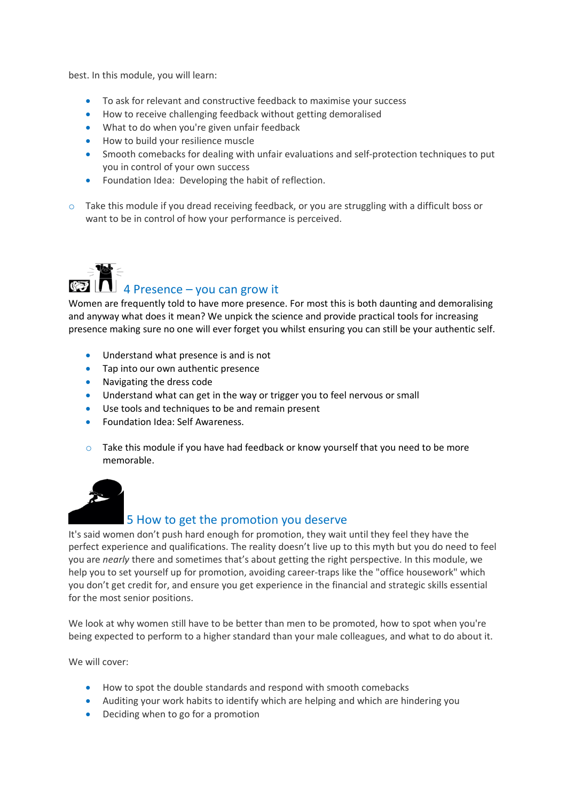best. In this module, you will learn:

- To ask for relevant and constructive feedback to maximise your success
- How to receive challenging feedback without getting demoralised
- What to do when you're given unfair feedback
- How to build your resilience muscle
- Smooth comebacks for dealing with unfair evaluations and self-protection techniques to put you in control of your own success
- Foundation Idea: Developing the habit of reflection.
- $\circ$  Take this module if you dread receiving feedback, or you are struggling with a difficult boss or want to be in control of how your performance is perceived.



# $\begin{array}{c} \mathbf{A} \in \mathbb{R}^d$  4 Presence – you can grow it

Women are frequently told to have more presence. For most this is both daunting and demoralising and anyway what does it mean? We unpick the science and provide practical tools for increasing presence making sure no one will ever forget you whilst ensuring you can still be your authentic self.

- Understand what presence is and is not
- Tap into our own authentic presence
- Navigating the dress code
- Understand what can get in the way or trigger you to feel nervous or small
- Use tools and techniques to be and remain present
- Foundation Idea: Self Awareness.
- $\circ$  Take this module if you have had feedback or know yourself that you need to be more memorable.



## 5 How to get the promotion you deserve

It's said women don't push hard enough for promotion, they wait until they feel they have the perfect experience and qualifications. The reality doesn't live up to this myth but you do need to feel you are *nearly* there and sometimes that's about getting the right perspective. In this module, we help you to set yourself up for promotion, avoiding career-traps like the "office housework" which you don't get credit for, and ensure you get experience in the financial and strategic skills essential for the most senior positions.

We look at why women still have to be better than men to be promoted, how to spot when you're being expected to perform to a higher standard than your male colleagues, and what to do about it.

We will cover:

- How to spot the double standards and respond with smooth comebacks
- Auditing your work habits to identify which are helping and which are hindering you
- Deciding when to go for a promotion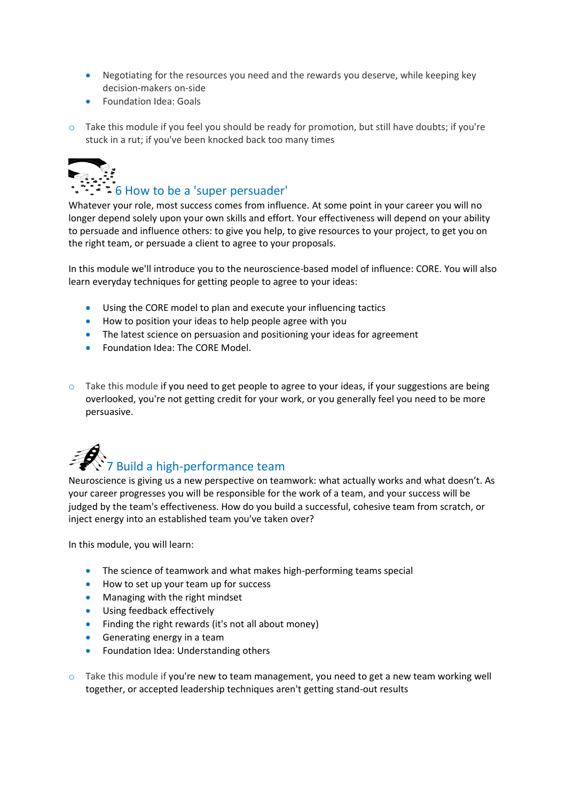- Negotiating for the resources you need and the rewards you deserve, while keeping key decision-makers on-side
- Foundation Idea: Goals
- o Take this module if you feel you should be ready for promotion, but still have doubts; if you're stuck in a rut; if you've been knocked back too many times



## $\mathbb{R}^2$  = 6 How to be a 'super persuader'

Whatever your role, most success comes from influence. At some point in your career you will no longer depend solely upon your own skills and effort. Your effectiveness will depend on your ability to persuade and influence others: to give you help, to give resources to your project, to get you on the right team, or persuade a client to agree to your proposals.

In this module we'll introduce you to the neuroscience-based model of influence: CORE. You will also learn everyday techniques for getting people to agree to your ideas:

- Using the CORE model to plan and execute your influencing tactics
- How to position your ideas to help people agree with you
- The latest science on persuasion and positioning your ideas for agreement
- Foundation Idea: The CORE Model.
- $\circ$  Take this module if you need to get people to agree to your ideas, if your suggestions are being overlooked, you're not getting credit for your work, or you generally feel you need to be more persuasive.



Neuroscience is giving us a new perspective on teamwork: what actually works and what doesn't. As your career progresses you will be responsible for the work of a team, and your success will be judged by the team's effectiveness. How do you build a successful, cohesive team from scratch, or inject energy into an established team you've taken over?

In this module, you will learn:

- The science of teamwork and what makes high-performing teams special
- How to set up your team up for success
- Managing with the right mindset
- Using feedback effectively
- Finding the right rewards (it's not all about money)
- Generating energy in a team
- Foundation Idea: Understanding others
- $\circ$  Take this module if you're new to team management, you need to get a new team working well together, or accepted leadership techniques aren't getting stand-out results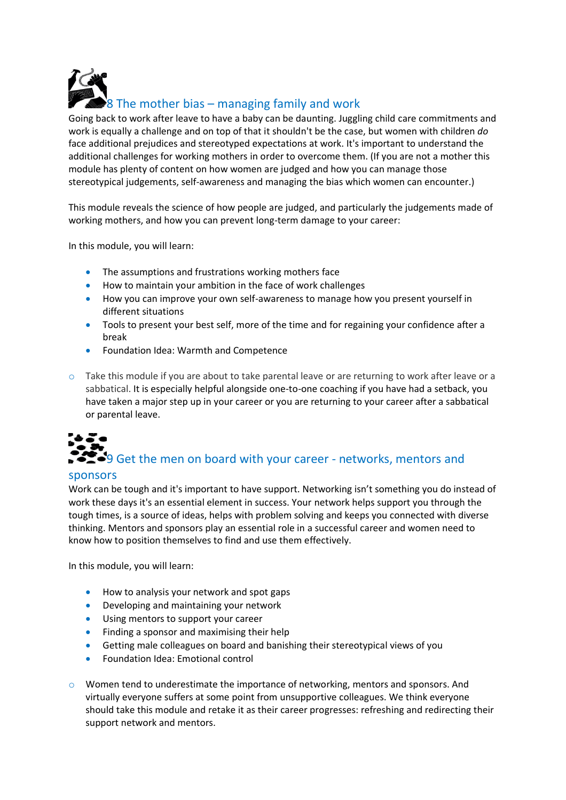8 The mother bias – managing family and work

Going back to work after leave to have a baby can be daunting. Juggling child care commitments and work is equally a challenge and on top of that it shouldn't be the case, but women with children *do* face additional prejudices and stereotyped expectations at work. It's important to understand the additional challenges for working mothers in order to overcome them. (If you are not a mother this module has plenty of content on how women are judged and how you can manage those stereotypical judgements, self-awareness and managing the bias which women can encounter.)

This module reveals the science of how people are judged, and particularly the judgements made of working mothers, and how you can prevent long-term damage to your career:

In this module, you will learn:

- The assumptions and frustrations working mothers face
- How to maintain your ambition in the face of work challenges
- How you can improve your own self-awareness to manage how you present yourself in different situations
- Tools to present your best self, more of the time and for regaining your confidence after a break
- Foundation Idea: Warmth and Competence
- $\circ$  Take this module if you are about to take parental leave or are returning to work after leave or a sabbatical. It is especially helpful alongside one-to-one coaching if you have had a setback, you have taken a major step up in your career or you are returning to your career after a sabbatical or parental leave.

# $\sum$  9 Get the men on board with your career - networks, mentors and

### sponsors

Work can be tough and it's important to have support. Networking isn't something you do instead of work these days it's an essential element in success. Your network helps support you through the tough times, is a source of ideas, helps with problem solving and keeps you connected with diverse thinking. Mentors and sponsors play an essential role in a successful career and women need to know how to position themselves to find and use them effectively.

In this module, you will learn:

- How to analysis your network and spot gaps
- Developing and maintaining your network
- Using mentors to support your career
- Finding a sponsor and maximising their help
- Getting male colleagues on board and banishing their stereotypical views of you
- Foundation Idea: Emotional control
- o Women tend to underestimate the importance of networking, mentors and sponsors. And virtually everyone suffers at some point from unsupportive colleagues. We think everyone should take this module and retake it as their career progresses: refreshing and redirecting their support network and mentors.